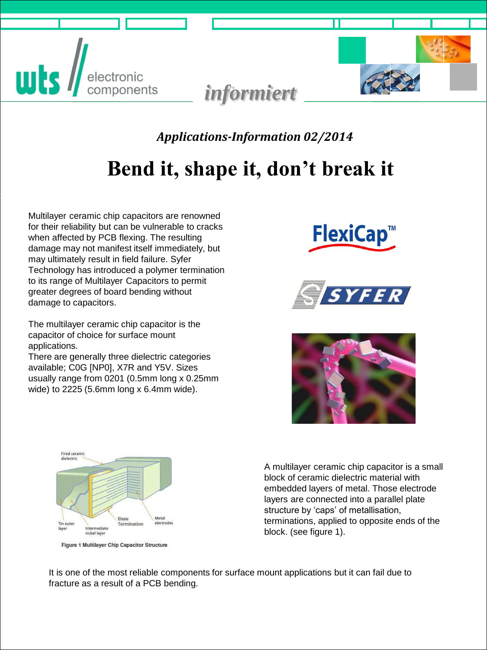



 *Applications-Information 02/2014*

# **Bend it, shape it, don't break it**

Multilayer ceramic chip capacitors are renowned for their reliability but can be vulnerable to cracks when affected by PCB flexing. The resulting damage may not manifest itself immediately, but may ultimately result in field failure. Syfer Technology has introduced a polymer termination to its range of Multilayer Capacitors to permit greater degrees of board bending without damage to capacitors.

The multilayer ceramic chip capacitor is the capacitor of choice for surface mount applications.

There are generally three dielectric categories available; C0G [NP0], X7R and Y5V. Sizes usually range from 0201 (0.5mm long x 0.25mm wide) to 2225 (5.6mm long x 6.4mm wide).









Figure 1 Multilayer Chip Capacitor Structure

A multilayer ceramic chip capacitor is a small block of ceramic dielectric material with embedded layers of metal. Those electrode layers are connected into a parallel plate structure by 'caps' of metallisation, terminations, applied to opposite ends of the block. (see figure 1).

It is one of the most reliable components for surface mount applications but it can fail due to fracture as a result of a PCB bending.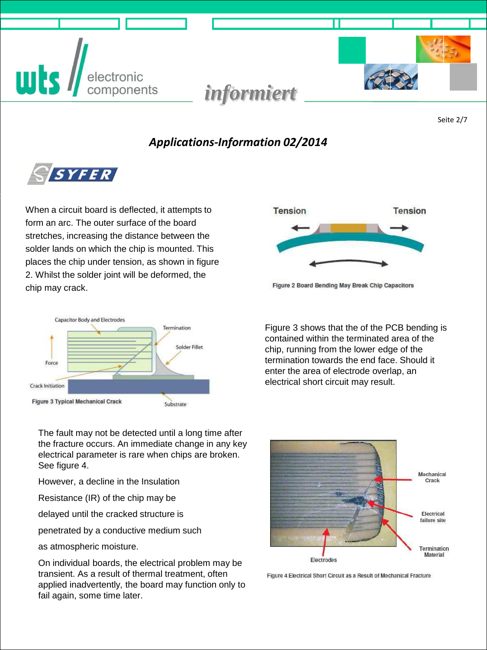



Seite 2/7

#### *Applications-Information 02/2014*



When a circuit board is deflected, it attempts to form an arc. The outer surface of the board stretches, increasing the distance between the solder lands on which the chip is mounted. This places the chip under tension, as shown in figure 2. Whilst the solder joint will be deformed, the chip may crack.





Figure 2 Board Bending May Break Chip Capacitors

Figure 3 shows that the of the PCB bending is contained within the terminated area of the chip, running from the lower edge of the termination towards the end face. Should it enter the area of electrode overlap, an electrical short circuit may result.

The fault may not be detected until a long time after the fracture occurs. An immediate change in any key electrical parameter is rare when chips are broken. See figure 4.

However, a decline in the Insulation

Resistance (IR) of the chip may be

delayed until the cracked structure is

penetrated by a conductive medium such

as atmospheric moisture.

On individual boards, the electrical problem may be transient. As a result of thermal treatment, often applied inadvertently, the board may function only to fail again, some time later.



Figure 4 Electrical Short Circuit as a Result of Mechanical Fracture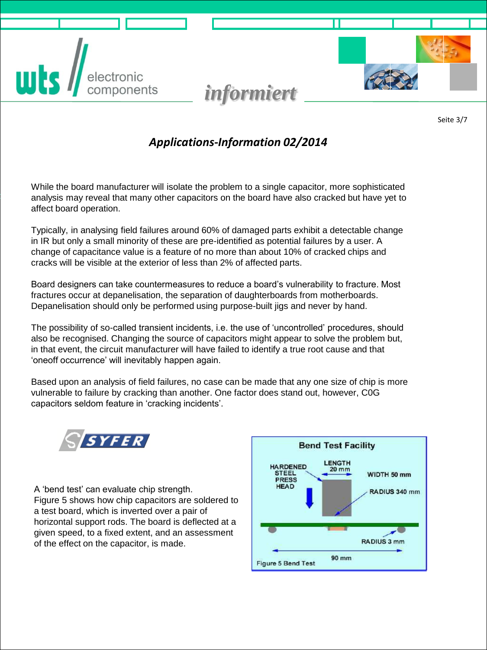





Seite 3/7

#### *Applications-Information 02/2014*

While the board manufacturer will isolate the problem to a single capacitor, more sophisticated analysis may reveal that many other capacitors on the board have also cracked but have yet to affect board operation.

Typically, in analysing field failures around 60% of damaged parts exhibit a detectable change in IR but only a small minority of these are pre-identified as potential failures by a user. A change of capacitance value is a feature of no more than about 10% of cracked chips and cracks will be visible at the exterior of less than 2% of affected parts.

Board designers can take countermeasures to reduce a board's vulnerability to fracture. Most fractures occur at depanelisation, the separation of daughterboards from motherboards. Depanelisation should only be performed using purpose-built jigs and never by hand.

The possibility of so-called transient incidents, i.e. the use of 'uncontrolled' procedures, should also be recognised. Changing the source of capacitors might appear to solve the problem but, in that event, the circuit manufacturer will have failed to identify a true root cause and that 'oneoff occurrence' will inevitably happen again.

Based upon an analysis of field failures, no case can be made that any one size of chip is more vulnerable to failure by cracking than another. One factor does stand out, however, C0G capacitors seldom feature in 'cracking incidents'.



A 'bend test' can evaluate chip strength. Figure 5 shows how chip capacitors are soldered to a test board, which is inverted over a pair of horizontal support rods. The board is deflected at a given speed, to a fixed extent, and an assessment of the effect on the capacitor, is made.

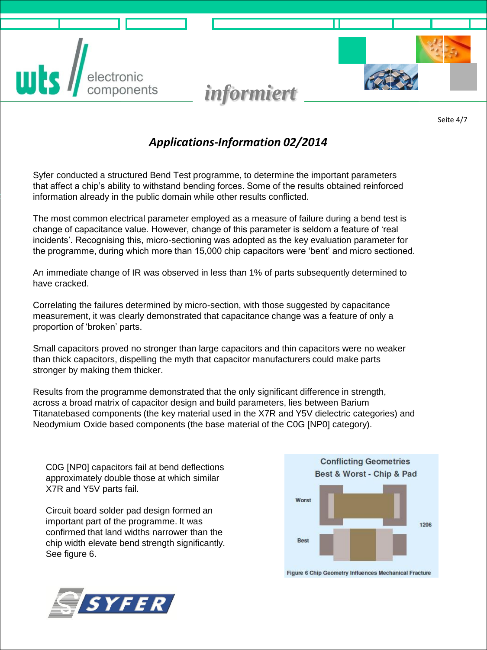



### *Applications-Information 02/2014*

*informiert*

Syfer conducted a structured Bend Test programme, to determine the important parameters that affect a chip's ability to withstand bending forces. Some of the results obtained reinforced information already in the public domain while other results conflicted.

The most common electrical parameter employed as a measure of failure during a bend test is change of capacitance value. However, change of this parameter is seldom a feature of 'real incidents'. Recognising this, micro-sectioning was adopted as the key evaluation parameter for the programme, during which more than 15,000 chip capacitors were 'bent' and micro sectioned.

An immediate change of IR was observed in less than 1% of parts subsequently determined to have cracked.

Correlating the failures determined by micro-section, with those suggested by capacitance measurement, it was clearly demonstrated that capacitance change was a feature of only a proportion of 'broken' parts.

Small capacitors proved no stronger than large capacitors and thin capacitors were no weaker than thick capacitors, dispelling the myth that capacitor manufacturers could make parts stronger by making them thicker.

Results from the programme demonstrated that the only significant difference in strength, across a broad matrix of capacitor design and build parameters, lies between Barium Titanatebased components (the key material used in the X7R and Y5V dielectric categories) and Neodymium Oxide based components (the base material of the C0G [NP0] category).

C0G [NP0] capacitors fail at bend deflections approximately double those at which similar X7R and Y5V parts fail.

Circuit board solder pad design formed an important part of the programme. It was confirmed that land widths narrower than the chip width elevate bend strength significantly. See figure 6.



Figure 6 Chip Geometry Influences Mechanical Fracture

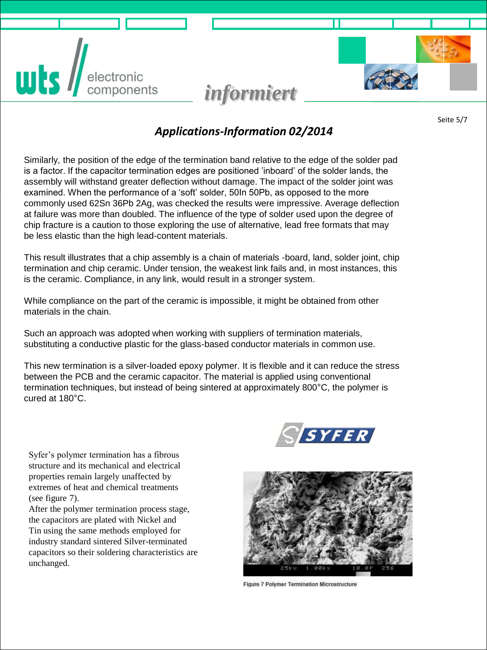**is**  $/$ electronic<br>components

# *informiert*

Seite 5/7

#### *Applications-Information 02/2014*

Similarly, the position of the edge of the termination band relative to the edge of the solder pad is a factor. If the capacitor termination edges are positioned 'inboard' of the solder lands, the assembly will withstand greater deflection without damage. The impact of the solder joint was examined. When the performance of a 'soft' solder, 50In 50Pb, as opposed to the more commonly used 62Sn 36Pb 2Ag, was checked the results were impressive. Average deflection at failure was more than doubled. The influence of the type of solder used upon the degree of chip fracture is a caution to those exploring the use of alternative, lead free formats that may be less elastic than the high lead-content materials.

This result illustrates that a chip assembly is a chain of materials -board, land, solder joint, chip termination and chip ceramic. Under tension, the weakest link fails and, in most instances, this is the ceramic. Compliance, in any link, would result in a stronger system.

While compliance on the part of the ceramic is impossible, it might be obtained from other materials in the chain.

Such an approach was adopted when working with suppliers of termination materials, substituting a conductive plastic for the glass-based conductor materials in common use.

This new termination is a silver-loaded epoxy polymer. It is flexible and it can reduce the stress between the PCB and the ceramic capacitor. The material is applied using conventional termination techniques, but instead of being sintered at approximately 800°C, the polymer is cured at 180°C.



Syfer's polymer termination has a fibrous structure and its mechanical and electrical properties remain largely unaffected by extremes of heat and chemical treatments (see figure 7).

After the polymer termination process stage, the capacitors are plated with Nickel and Tin using the same methods employed for industry standard sintered Silver-terminated capacitors so their soldering characteristics are unchanged.



**Figure 7 Polymer Termination Microstructure**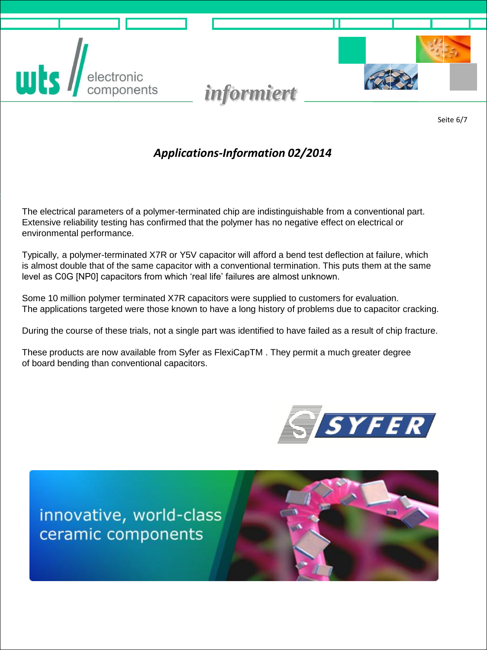



Seite 6/7

### *Applications-Information 02/2014*

The electrical parameters of a polymer-terminated chip are indistinguishable from a conventional part. Extensive reliability testing has confirmed that the polymer has no negative effect on electrical or environmental performance.

Typically, a polymer-terminated X7R or Y5V capacitor will afford a bend test deflection at failure, which is almost double that of the same capacitor with a conventional termination. This puts them at the same level as C0G [NP0] capacitors from which 'real life' failures are almost unknown.

Some 10 million polymer terminated X7R capacitors were supplied to customers for evaluation. The applications targeted were those known to have a long history of problems due to capacitor cracking.

During the course of these trials, not a single part was identified to have failed as a result of chip fracture.

These products are now available from Syfer as FlexiCapTM . They permit a much greater degree of board bending than conventional capacitors.



innovative, world-class ceramic components